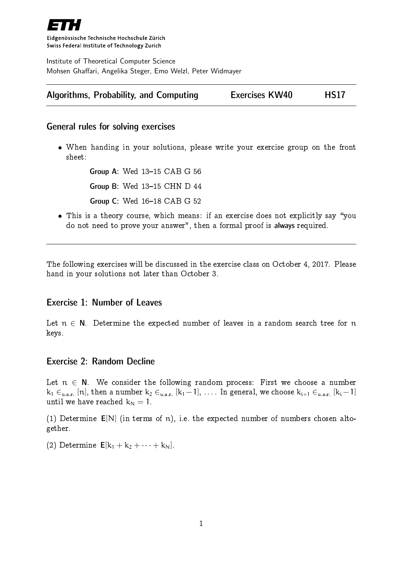

Eidgenössische Technische Hochschule Zürich Swiss Federal Institute of Technology Zurich

Institute of Theoretical Computer Science Mohsen Ghaffari, Angelika Steger, Emo Welzl, Peter Widmayer

|  | Algorithms, Probability, and Computing | <b>Exercises KW40</b> | <b>HS17</b> |
|--|----------------------------------------|-----------------------|-------------|
|--|----------------------------------------|-----------------------|-------------|

### General rules for solving exercises

 When handing in your solutions, please write your exercise group on the front sheet:

> Group A: Wed 13-15 CAB G 56 **Group B: Wed 13-15 CHN D 44 Group C: Wed 16-18 CAB G 52**

• This is a theory course, which means: if an exercise does not explicitly say "you do not need to prove your answer", then a formal proof is always required.

The following exercises will be discussed in the exercise class on October 4, 2017. Please hand in your solutions not later than October 3.

# Exercise 1: Number of Leaves

Let  $n \in N$ . Determine the expected number of leaves in a random search tree for n keys.

# Exercise 2: Random Decline

Let  $n \in N$ . We consider the following random process: First we choose a number  $\rm k_1\in_{u.a.r.} [n],$  then a number  $\rm k_2\in_{u.a.r.} [k_1\!-\!1],$   $\ldots$  . In general, we choose  $\rm k_{i+1}\in_{u.a.r.} [k_i\!-\!1]$ until we have reached  $k_N = 1$ .

(1) Determine  $E[N]$  (in terms of n), i.e. the expected number of numbers chosen altogether.

(2) Determine  $E[k_1 + k_2 + \cdots + k_N].$